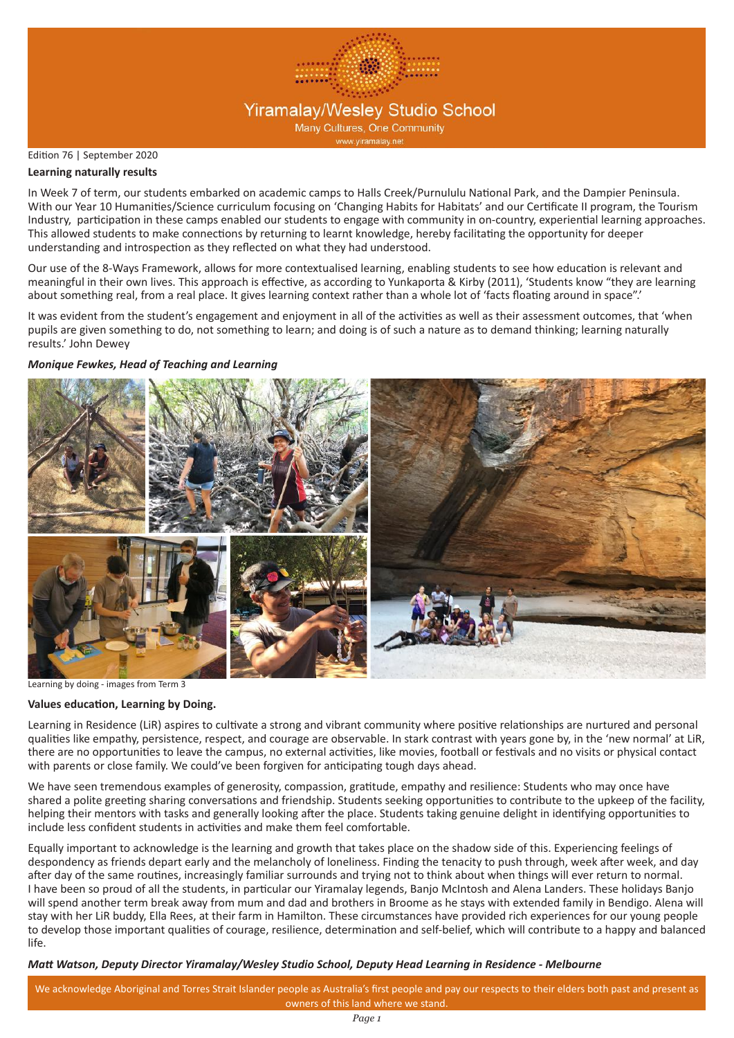

### Edition 76 | September 2020

### **Learning naturally results**

In Week 7 of term, our students embarked on academic camps to Halls Creek/Purnululu National Park, and the Dampier Peninsula. With our Year 10 Humanities/Science curriculum focusing on 'Changing Habits for Habitats' and our Certificate II program, the Tourism Industry, participation in these camps enabled our students to engage with community in on-country, experiential learning approaches. This allowed students to make connections by returning to learnt knowledge, hereby facilitating the opportunity for deeper understanding and introspection as they reflected on what they had understood.

Our use of the 8-Ways Framework, allows for more contextualised learning, enabling students to see how education is relevant and meaningful in their own lives. This approach is effective, as according to Yunkaporta & Kirby (2011), 'Students know "they are learning about something real, from a real place. It gives learning context rather than a whole lot of 'facts floating around in space".'

It was evident from the student's engagement and enjoyment in all of the activities as well as their assessment outcomes, that 'when pupils are given something to do, not something to learn; and doing is of such a nature as to demand thinking; learning naturally results.' John Dewey

# *Monique Fewkes, Head of Teaching and Learning*



Learning by doing - images from Term 3

#### **Values education, Learning by Doing.**

Learning in Residence (LiR) aspires to cultivate a strong and vibrant community where positive relationships are nurtured and personal qualities like empathy, persistence, respect, and courage are observable. In stark contrast with years gone by, in the 'new normal' at LiR, there are no opportunities to leave the campus, no external activities, like movies, football or festivals and no visits or physical contact with parents or close family. We could've been forgiven for anticipating tough days ahead.

We have seen tremendous examples of generosity, compassion, gratitude, empathy and resilience: Students who may once have shared a polite greeting sharing conversations and friendship. Students seeking opportunities to contribute to the upkeep of the facility, helping their mentors with tasks and generally looking after the place. Students taking genuine delight in identifying opportunities to include less confident students in activities and make them feel comfortable.

Equally important to acknowledge is the learning and growth that takes place on the shadow side of this. Experiencing feelings of despondency as friends depart early and the melancholy of loneliness. Finding the tenacity to push through, week after week, and day after day of the same routines, increasingly familiar surrounds and trying not to think about when things will ever return to normal. I have been so proud of all the students, in particular our Yiramalay legends, Banjo McIntosh and Alena Landers. These holidays Banjo will spend another term break away from mum and dad and brothers in Broome as he stays with extended family in Bendigo. Alena will stay with her LiR buddy, Ella Rees, at their farm in Hamilton. These circumstances have provided rich experiences for our young people to develop those important qualities of courage, resilience, determination and self-belief, which will contribute to a happy and balanced life.

### *Matt Watson, Deputy Director Yiramalay/Wesley Studio School, Deputy Head Learning in Residence - Melbourne*

We acknowledge Aboriginal and Torres Strait Islander people as Australia's first people and pay our respects to their elders both past and present as owners of this land where we stand.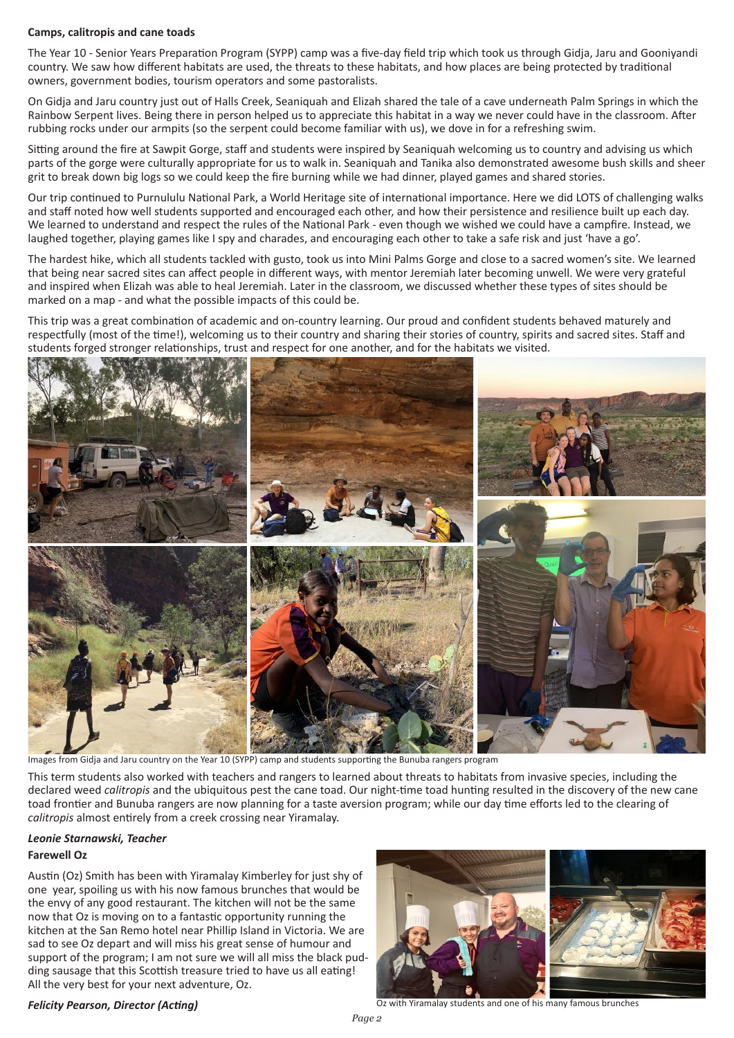#### **Camps, calitropis and cane toads**

The Year 10 - Senior Years Preparation Program (SYPP) camp was a five-day field trip which took us through Gidja, Jaru and Gooniyandi country. We saw how different habitats are used, the threats to these habitats, and how places are being protected by traditional owners, government bodies, tourism operators and some pastoralists.

On Gidja and Jaru country just out of Halls Creek, Seaniquah and Elizah shared the tale of a cave underneath Palm Springs in which the Rainbow Serpent lives. Being there in person helped us to appreciate this habitat in a way we never could have in the classroom. After rubbing rocks under our armpits (so the serpent could become familiar with us), we dove in for a refreshing swim.

Sitting around the fire at Sawpit Gorge, staff and students were inspired by Seaniquah welcoming us to country and advising us which parts of the gorge were culturally appropriate for us to walk in. Seaniquah and Tanika also demonstrated awesome bush skills and sheer grit to break down big logs so we could keep the fire burning while we had dinner, played games and shared stories.

Our trip continued to Purnululu National Park, a World Heritage site of international importance. Here we did LOTS of challenging walks and staff noted how well students supported and encouraged each other, and how their persistence and resilience built up each day. We learned to understand and respect the rules of the National Park - even though we wished we could have a campfire. Instead, we laughed together, playing games like I spy and charades, and encouraging each other to take a safe risk and just 'have a go'.

The hardest hike, which all students tackled with gusto, took us into Mini Palms Gorge and close to a sacred women's site. We learned that being near sacred sites can affect people in different ways, with mentor Jeremiah later becoming unwell. We were very grateful and inspired when Elizah was able to heal Jeremiah. Later in the classroom, we discussed whether these types of sites should be marked on a map - and what the possible impacts of this could be.

This trip was a great combination of academic and on-country learning. Our proud and confident students behaved maturely and respectfully (most of the time!), welcoming us to their country and sharing their stories of country, spirits and sacred sites. Staff and students forged stronger relationships, trust and respect for one another, and for the habitats we visited.



Images from Gidja and Jaru country on the Year 10 (SYPP) camp and students supporting the Bunuba rangers program

This term students also worked with teachers and rangers to learned about threats to habitats from invasive species, including the declared weed *calitropis* and the ubiquitous pest the cane toad. Our night-time toad hunting resulted in the discovery of the new cane toad frontier and Bunuba rangers are now planning for a taste aversion program; while our day time efforts led to the clearing of *calitropis* almost entirely from a creek crossing near Yiramalay.

## **Farewell Oz** *Leonie Starnawski, Teacher*

Austin (Oz) Smith has been with Yiramalay Kimberley for just shy of one year, spoiling us with his now famous brunches that would be the envy of any good restaurant. The kitchen will not be the same now that Oz is moving on to a fantastic opportunity running the kitchen at the San Remo hotel near Phillip Island in Victoria. We are sad to see Oz depart and will miss his great sense of humour and support of the program; I am not sure we will all miss the black pudding sausage that this Scottish treasure tried to have us all eating! All the very best for your next adventure, Oz.



### *Felicity Pearson, Director (Acting)*

Oz with Yiramalay students and one of his many famous brunches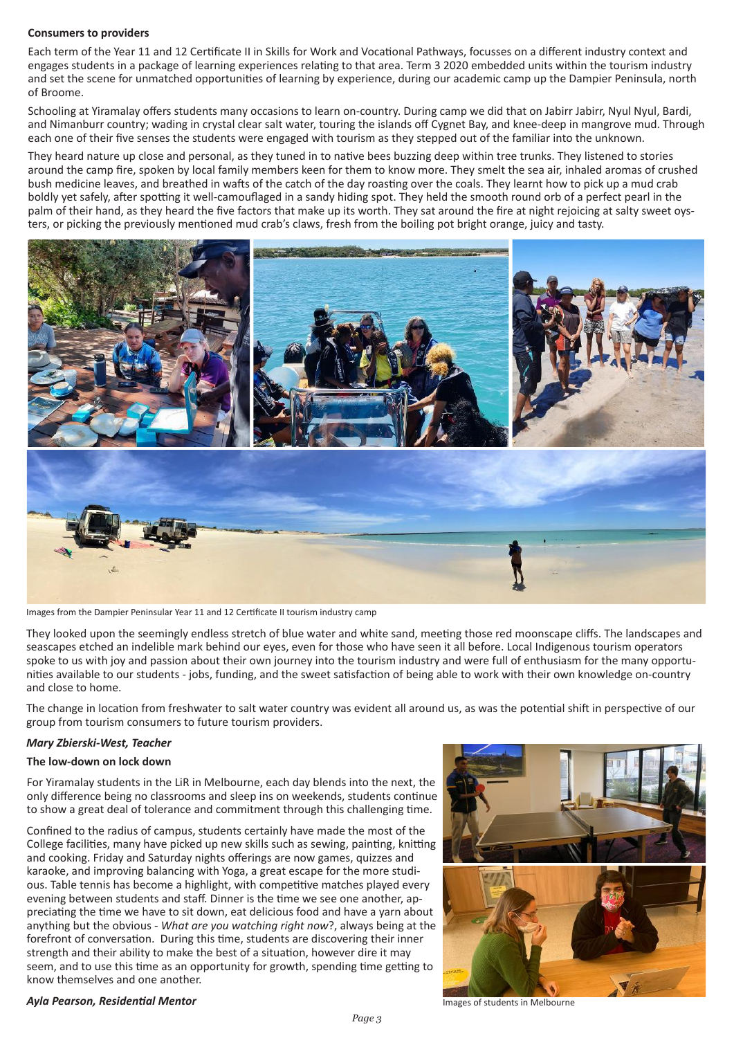#### **Consumers to providers**

Each term of the Year 11 and 12 Certificate II in Skills for Work and Vocational Pathways, focusses on a different industry context and engages students in a package of learning experiences relating to that area. Term 3 2020 embedded units within the tourism industry and set the scene for unmatched opportunities of learning by experience, during our academic camp up the Dampier Peninsula, north of Broome.

Schooling at Yiramalay offers students many occasions to learn on-country. During camp we did that on Jabirr Jabirr, Nyul Nyul, Bardi, and Nimanburr country; wading in crystal clear salt water, touring the islands off Cygnet Bay, and knee-deep in mangrove mud. Through each one of their five senses the students were engaged with tourism as they stepped out of the familiar into the unknown.

They heard nature up close and personal, as they tuned in to native bees buzzing deep within tree trunks. They listened to stories around the camp fire, spoken by local family members keen for them to know more. They smelt the sea air, inhaled aromas of crushed bush medicine leaves, and breathed in wafts of the catch of the day roasting over the coals. They learnt how to pick up a mud crab boldly yet safely, after spotting it well-camouflaged in a sandy hiding spot. They held the smooth round orb of a perfect pearl in the palm of their hand, as they heard the five factors that make up its worth. They sat around the fire at night rejoicing at salty sweet oysters, or picking the previously mentioned mud crab's claws, fresh from the boiling pot bright orange, juicy and tasty.

![](_page_2_Picture_4.jpeg)

Images from the Dampier Peninsular Year 11 and 12 Certificate II tourism industry camp

They looked upon the seemingly endless stretch of blue water and white sand, meeting those red moonscape cliffs. The landscapes and seascapes etched an indelible mark behind our eyes, even for those who have seen it all before. Local Indigenous tourism operators spoke to us with joy and passion about their own journey into the tourism industry and were full of enthusiasm for the many opportunities available to our students - jobs, funding, and the sweet satisfaction of being able to work with their own knowledge on-country and close to home.

The change in location from freshwater to salt water country was evident all around us, as was the potential shift in perspective of our group from tourism consumers to future tourism providers.

#### *Mary Zbierski-West, Teacher*

#### **The low-down on lock down**

For Yiramalay students in the LiR in Melbourne, each day blends into the next, the only difference being no classrooms and sleep ins on weekends, students continue to show a great deal of tolerance and commitment through this challenging time.

Confined to the radius of campus, students certainly have made the most of the College facilities, many have picked up new skills such as sewing, painting, knitting and cooking. Friday and Saturday nights offerings are now games, quizzes and karaoke, and improving balancing with Yoga, a great escape for the more studious. Table tennis has become a highlight, with competitive matches played every evening between students and staff. Dinner is the time we see one another, appreciating the time we have to sit down, eat delicious food and have a yarn about anything but the obvious - *What are you watching right now*?, always being at the forefront of conversation. During this time, students are discovering their inner strength and their ability to make the best of a situation, however dire it may seem, and to use this time as an opportunity for growth, spending time getting to know themselves and one another.

![](_page_2_Picture_12.jpeg)

*Ayla Pearson, Residential Mentor*

Images of students in Melbourne